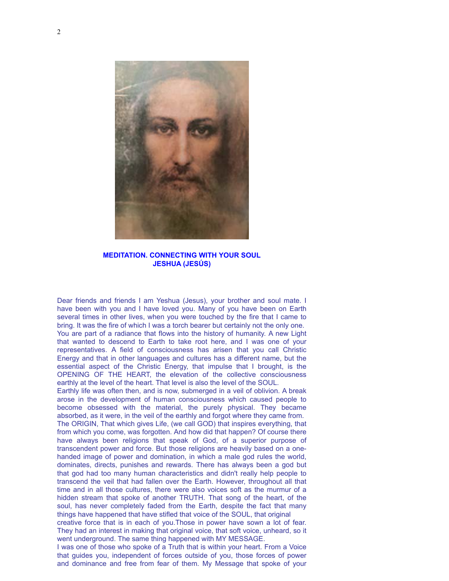

**MEDITATION. CONNECTING WITH YOUR SOUL JESHUA (JESÚS)**

Dear friends and friends I am Yeshua (Jesus), your brother and soul mate. I have been with you and I have loved you. Many of you have been on Earth several times in other lives, when you were touched by the fire that I came to bring. It was the fire of which I was a torch bearer but certainly not the only one. You are part of a radiance that flows into the history of humanity. A new Light that wanted to descend to Earth to take root here, and I was one of your representatives. A field of consciousness has arisen that you call Christic Energy and that in other languages and cultures has a different name, but the essential aspect of the Christic Energy, that impulse that I brought, is the OPENING OF THE HEART, the elevation of the collective consciousness earthly at the level of the heart. That level is also the level of the SOUL.

Earthly life was often then, and is now, submerged in a veil of oblivion. A break arose in the development of human consciousness which caused people to become obsessed with the material, the purely physical. They became absorbed, as it were, in the veil of the earthly and forgot where they came from. The ORIGIN, That which gives Life, (we call GOD) that inspires everything, that from which you come, was forgotten. And how did that happen? Of course there have always been religions that speak of God, of a superior purpose of transcendent power and force. But those religions are heavily based on a onehanded image of power and domination, in which a male god rules the world, dominates, directs, punishes and rewards. There has always been a god but that god had too many human characteristics and didn't really help people to transcend the veil that had fallen over the Earth. However, throughout all that time and in all those cultures, there were also voices soft as the murmur of a hidden stream that spoke of another TRUTH. That song of the heart, of the soul, has never completely faded from the Earth, despite the fact that many things have happened that have stifled that voice of the SOUL, that original

creative force that is in each of you.Those in power have sown a lot of fear. They had an interest in making that original voice, that soft voice, unheard, so it went underground. The same thing happened with MY MESSAGE.

I was one of those who spoke of a Truth that is within your heart. From a Voice that guides you, independent of forces outside of you, those forces of power and dominance and free from fear of them. My Message that spoke of your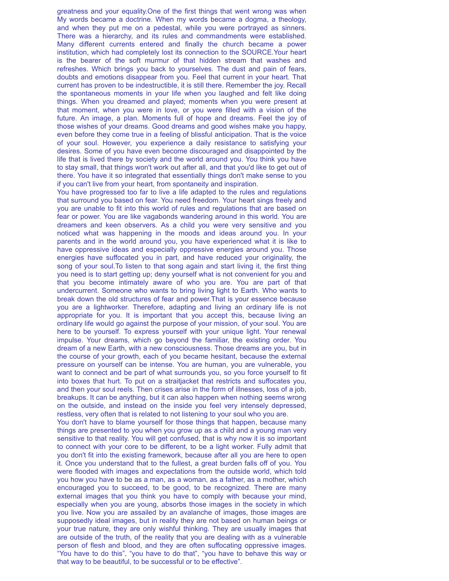greatness and your equality.One of the first things that went wrong was when My words became a doctrine. When my words became a dogma, a theology, and when they put me on a pedestal, while you were portrayed as sinners. There was a hierarchy, and its rules and commandments were established. Many different currents entered and finally the church became a power institution, which had completely lost its connection to the SOURCE.Your heart is the bearer of the soft murmur of that hidden stream that washes and refreshes. Which brings you back to yourselves. The dust and pain of fears, doubts and emotions disappear from you. Feel that current in your heart. That current has proven to be indestructible, it is still there. Remember the joy. Recall the spontaneous moments in your life when you laughed and felt like doing things. When you dreamed and played; moments when you were present at that moment, when you were in love, or you were filled with a vision of the future. An image, a plan. Moments full of hope and dreams. Feel the joy of those wishes of your dreams. Good dreams and good wishes make you happy, even before they come true in a feeling of blissful anticipation. That is the voice of your soul. However, you experience a daily resistance to satisfying your desires. Some of you have even become discouraged and disappointed by the life that is lived there by society and the world around you. You think you have to stay small, that things won't work out after all, and that you'd like to get out of there. You have it so integrated that essentially things don't make sense to you if you can't live from your heart, from spontaneity and inspiration.

You have progressed too far to live a life adapted to the rules and regulations that surround you based on fear. You need freedom. Your heart sings freely and you are unable to fit into this world of rules and regulations that are based on fear or power. You are like vagabonds wandering around in this world. You are dreamers and keen observers. As a child you were very sensitive and you noticed what was happening in the moods and ideas around you. In your parents and in the world around you, you have experienced what it is like to have oppressive ideas and especially oppressive energies around you. Those energies have suffocated you in part, and have reduced your originality, the song of your soul.To listen to that song again and start living it, the first thing you need is to start getting up; deny yourself what is not convenient for you and that you become intimately aware of who you are. You are part of that undercurrent. Someone who wants to bring living light to Earth. Who wants to break down the old structures of fear and power.That is your essence because you are a lightworker. Therefore, adapting and living an ordinary life is not appropriate for you. It is important that you accept this, because living an ordinary life would go against the purpose of your mission, of your soul. You are here to be yourself. To express yourself with your unique light. Your renewal impulse. Your dreams, which go beyond the familiar, the existing order. You dream of a new Earth, with a new consciousness. Those dreams are you, but in the course of your growth, each of you became hesitant, because the external pressure on yourself can be intense. You are human, you are vulnerable, you want to connect and be part of what surrounds you, so you force yourself to fit into boxes that hurt. To put on a straitjacket that restricts and suffocates you, and then your soul reels. Then crises arise in the form of illnesses, loss of a job, breakups. It can be anything, but it can also happen when nothing seems wrong on the outside, and instead on the inside you feel very intensely depressed, restless, very often that is related to not listening to your soul who you are.

You don't have to blame yourself for those things that happen, because many things are presented to you when you grow up as a child and a young man very sensitive to that reality. You will get confused, that is why now it is so important to connect with your core to be different, to be a light worker. Fully admit that you don't fit into the existing framework, because after all you are here to open it. Once you understand that to the fullest, a great burden falls off of you. You were flooded with images and expectations from the outside world, which told you how you have to be as a man, as a woman, as a father, as a mother, which encouraged you to succeed, to be good, to be recognized. There are many external images that you think you have to comply with because your mind, especially when you are young, absorbs those images in the society in which you live. Now you are assailed by an avalanche of images, those images are supposedly ideal images, but in reality they are not based on human beings or your true nature, they are only wishful thinking. They are usually images that are outside of the truth, of the reality that you are dealing with as a vulnerable person of flesh and blood, and they are often suffocating oppressive images. "You have to do this", "you have to do that", "you have to behave this way or that way to be beautiful, to be successful or to be effective".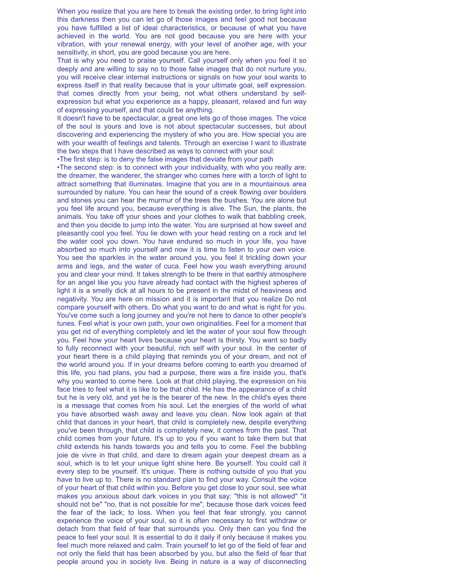When you realize that you are here to break the existing order, to bring light into this darkness then you can let go of those images and feel good not because you have fulfilled a list of ideal characteristics, or because of what you have achieved in the world. You are not good because you are here with your vibration, with your renewal energy, with your level of another age, with your sensitivity, in short, you are good because you are here.

That is why you need to praise yourself. Call yourself only when you feel it so deeply and are willing to say no to those false images that do not nurture you, you will receive clear internal instructions or signals on how your soul wants to express itself in that reality because that is your ultimate goal, self expression. that comes directly from your being, not what others understand by selfexpression but what you experience as a happy, pleasant, relaxed and fun way of expressing yourself, and that could be anything.

It doesn't have to be spectacular, a great one lets go of those images. The voice of the soul is yours and love is not about spectacular successes, but about discovering and experiencing the mystery of who you are. How special you are with your wealth of feelings and talents. Through an exercise I want to illustrate the two steps that I have described as ways to connect with your soul:

•The first step: is to deny the false images that deviate from your path

•The second step: is to connect with your individuality, with who you really are: the dreamer, the wanderer, the stranger who comes here with a torch of light to attract something that illuminates. Imagine that you are in a mountainous area surrounded by nature. You can hear the sound of a creek flowing over boulders and stones you can hear the murmur of the trees the bushes. You are alone but you feel life around you, because everything is alive. The Sun, the plants, the animals. You take off your shoes and your clothes to walk that babbling creek, and then you decide to jump into the water. You are surprised at how sweet and pleasantly cool you feel. You lie down with your head resting on a rock and let the water cool you down. You have endured so much in your life, you have absorbed so much into yourself and now it is time to listen to your own voice. You see the sparkles in the water around you, you feel it trickling down your arms and legs, and the water of cuca. Feel how you wash everything around you and clear your mind. It takes strength to be there in that earthly atmosphere for an angel like you you have already had contact with the highest spheres of light it is a smelly dick at all hours to be present in the midst of heaviness and negativity. You are here on mission and it is important that you realize Do not compare yourself with others. Do what you want to do and what is right for you. You've come such a long journey and you're not here to dance to other people's tunes. Feel what is your own path, your own originalities. Feel for a moment that you get rid of everything completely and let the water of your soul flow through you. Feel how your heart lives because your heart is thirsty. You want so badly to fully reconnect with your beautiful, rich self with your soul. In the center of your heart there is a child playing that reminds you of your dream, and not of the world around you. If in your dreams before coming to earth you dreamed of this life, you had plans, you had a purpose, there was a fire inside you, that's why you wanted to come here. Look at that child playing, the expression on his face tries to feel what it is like to be that child. He has the appearance of a child but he is very old, and yet he is the bearer of the new. In the child's eyes there is a message that comes from his soul. Let the energies of the world of what you have absorbed wash away and leave you clean. Now look again at that child that dances in your heart, that child is completely new, despite everything you've been through, that child is completely new, it comes from the past. That child comes from your future. It's up to you if you want to take them but that child extends his hands towards you and tells you to come. Feel the bubbling joie de vivre in that child, and dare to dream again your deepest dream as a soul, which is to let your unique light shine here. Be yourself. You could call it every step to be yourself. It's unique. There is nothing outside of you that you have to live up to. There is no standard plan to find your way. Consult the voice of your heart of that child within you. Before you get close to your soul, see what makes you anxious about dark voices in you that say: "this is not allowed" "it should not be" "no, that is not possible for me", because those dark voices feed the fear of the lack; to loss. When you feel that fear strongly, you cannot experience the voice of your soul, so it is often necessary to first withdraw or detach from that field of fear that surrounds you. Only then can you find the peace to feel your soul. It is essential to do it daily if only because it makes you feel much more relaxed and calm. Train yourself to let go of the field of fear and not only the field that has been absorbed by you, but also the field of fear that people around you in society live. Being in nature is a way of disconnecting